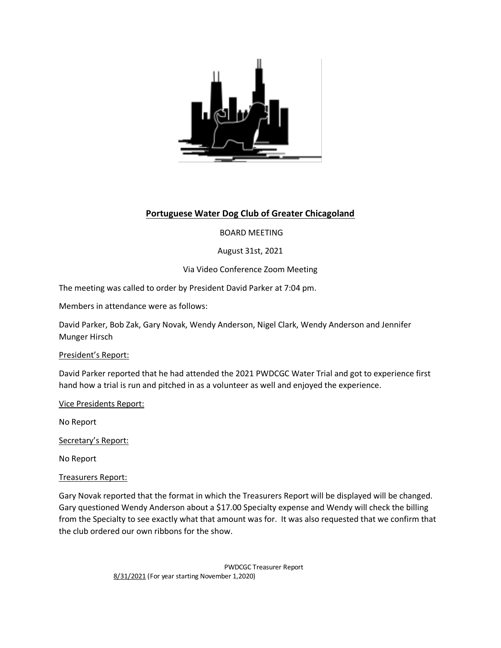

# **Portuguese Water Dog Club of Greater Chicagoland**

### BOARD MEETING

# August 31st, 2021

# Via Video Conference Zoom Meeting

The meeting was called to order by President David Parker at 7:04 pm.

Members in attendance were as follows:

David Parker, Bob Zak, Gary Novak, Wendy Anderson, Nigel Clark, Wendy Anderson and Jennifer Munger Hirsch

### President's Report:

David Parker reported that he had attended the 2021 PWDCGC Water Trial and got to experience first hand how a trial is run and pitched in as a volunteer as well and enjoyed the experience.

Vice Presidents Report:

No Report

Secretary's Report:

No Report

#### Treasurers Report:

Gary Novak reported that the format in which the Treasurers Report will be displayed will be changed. Gary questioned Wendy Anderson about a \$17.00 Specialty expense and Wendy will check the billing from the Specialty to see exactly what that amount was for. It was also requested that we confirm that the club ordered our own ribbons for the show.

> PWDCGC Treasurer Report 8/31/2021 (For year starting November 1,2020)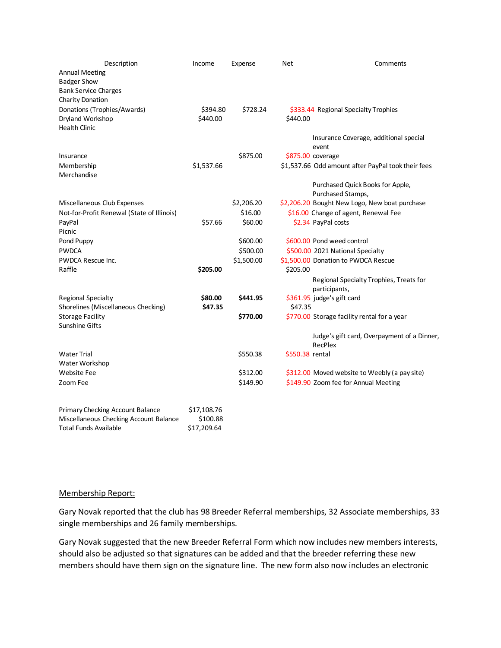| Description                                | Income      | Expense    | <b>Net</b>      | Comments                                              |
|--------------------------------------------|-------------|------------|-----------------|-------------------------------------------------------|
| <b>Annual Meeting</b>                      |             |            |                 |                                                       |
| <b>Badger Show</b>                         |             |            |                 |                                                       |
| <b>Bank Service Charges</b>                |             |            |                 |                                                       |
| Charity Donation                           |             |            |                 |                                                       |
| Donations (Trophies/Awards)                | \$394.80    | \$728.24   |                 | \$333.44 Regional Specialty Trophies                  |
| Dryland Workshop                           | \$440.00    |            | \$440.00        |                                                       |
| <b>Health Clinic</b>                       |             |            |                 |                                                       |
|                                            |             |            |                 | Insurance Coverage, additional special                |
| Insurance                                  |             | \$875.00   |                 | event<br>\$875.00 coverage                            |
|                                            | \$1,537.66  |            |                 |                                                       |
| Membership<br>Merchandise                  |             |            |                 | \$1,537.66 Odd amount after PayPal took their fees    |
|                                            |             |            |                 |                                                       |
|                                            |             |            |                 | Purchased Quick Books for Apple,<br>Purchased Stamps, |
| Miscellaneous Club Expenses                |             | \$2,206.20 |                 | \$2,206.20 Bought New Logo, New boat purchase         |
| Not-for-Profit Renewal (State of Illinois) |             | \$16.00    |                 | \$16.00 Change of agent, Renewal Fee                  |
| PayPal                                     | \$57.66     | \$60.00    |                 | \$2.34 PayPal costs                                   |
| Picnic                                     |             |            |                 |                                                       |
| Pond Puppy                                 |             | \$600.00   |                 | \$600.00 Pond weed control                            |
| <b>PWDCA</b>                               |             | \$500.00   |                 | \$500.00 2021 National Specialty                      |
| PWDCA Rescue Inc.                          |             | \$1,500.00 |                 | \$1,500.00 Donation to PWDCA Rescue                   |
| Raffle                                     | \$205.00    |            | \$205.00        |                                                       |
|                                            |             |            |                 | Regional Specialty Trophies, Treats for               |
|                                            |             |            |                 | participants,                                         |
| <b>Regional Specialty</b>                  | \$80.00     | \$441.95   |                 | \$361.95 judge's gift card                            |
| Shorelines (Miscellaneous Checking)        | \$47.35     |            | \$47.35         |                                                       |
| <b>Storage Facility</b>                    |             | \$770.00   |                 | \$770.00 Storage facility rental for a year           |
| <b>Sunshine Gifts</b>                      |             |            |                 |                                                       |
|                                            |             |            |                 | Judge's gift card, Overpayment of a Dinner,           |
|                                            |             |            |                 | RecPlex                                               |
| <b>Water Trial</b>                         |             | \$550.38   | \$550.38 rental |                                                       |
| Water Workshop                             |             |            |                 |                                                       |
| <b>Website Fee</b>                         |             | \$312.00   |                 | \$312.00 Moved website to Weebly (a pay site)         |
| Zoom Fee                                   |             | \$149.90   |                 | \$149.90 Zoom fee for Annual Meeting                  |
| Primary Checking Account Balance           | \$17,108.76 |            |                 |                                                       |
| Miscellaneous Checking Account Balance     | \$100.88    |            |                 |                                                       |
| Total Funds Available                      | \$17,209.64 |            |                 |                                                       |

#### Membership Report:

Gary Novak reported that the club has 98 Breeder Referral memberships, 32 Associate memberships, 33 single memberships and 26 family memberships.

Gary Novak suggested that the new Breeder Referral Form which now includes new members interests, should also be adjusted so that signatures can be added and that the breeder referring these new members should have them sign on the signature line. The new form also now includes an electronic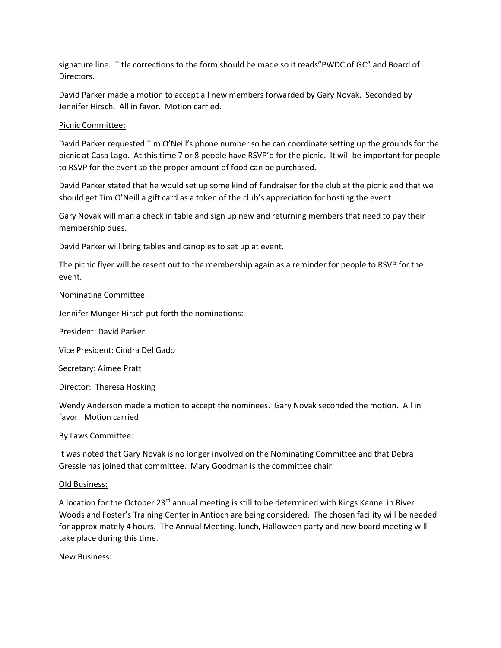signature line. Title corrections to the form should be made so it reads"PWDC of GC" and Board of Directors.

David Parker made a motion to accept all new members forwarded by Gary Novak. Seconded by Jennifer Hirsch. All in favor. Motion carried.

### Picnic Committee:

David Parker requested Tim O'Neill's phone number so he can coordinate setting up the grounds for the picnic at Casa Lago. At this time 7 or 8 people have RSVP'd for the picnic. It will be important for people to RSVP for the event so the proper amount of food can be purchased.

David Parker stated that he would set up some kind of fundraiser for the club at the picnic and that we should get Tim O'Neill a gift card as a token of the club's appreciation for hosting the event.

Gary Novak will man a check in table and sign up new and returning members that need to pay their membership dues.

David Parker will bring tables and canopies to set up at event.

The picnic flyer will be resent out to the membership again as a reminder for people to RSVP for the event.

### Nominating Committee:

Jennifer Munger Hirsch put forth the nominations:

President: David Parker

Vice President: Cindra Del Gado

Secretary: Aimee Pratt

Director: Theresa Hosking

Wendy Anderson made a motion to accept the nominees. Gary Novak seconded the motion. All in favor. Motion carried.

#### By Laws Committee:

It was noted that Gary Novak is no longer involved on the Nominating Committee and that Debra Gressle has joined that committee. Mary Goodman is the committee chair.

#### Old Business:

A location for the October 23<sup>rd</sup> annual meeting is still to be determined with Kings Kennel in River Woods and Foster's Training Center in Antioch are being considered. The chosen facility will be needed for approximately 4 hours. The Annual Meeting, lunch, Halloween party and new board meeting will take place during this time.

#### New Business: